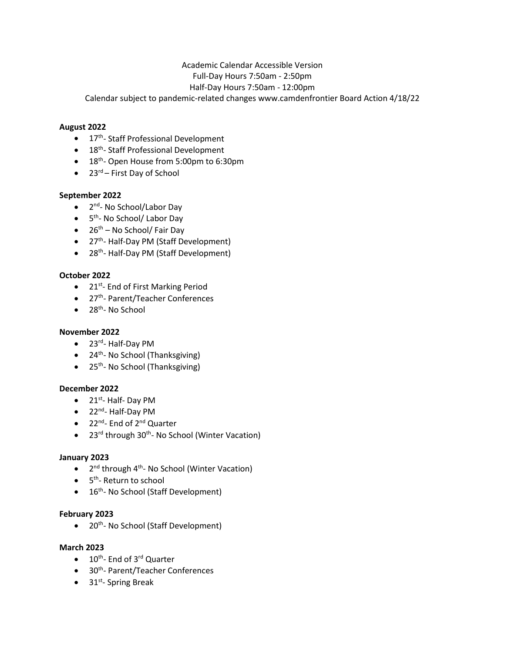# Academic Calendar Accessible Version Full-Day Hours 7:50am - 2:50pm Half-Day Hours 7:50am - 12:00pm

Calendar subject to pandemic-related changes www.camdenfrontier Board Action 4/18/22

## **August 2022**

- $\bullet$  17<sup>th</sup>-Staff Professional Development
- 18<sup>th</sup>- Staff Professional Development
- 18<sup>th</sup>- Open House from 5:00pm to 6:30pm
- $23^{rd}$  First Day of School

## **September 2022**

- $\bullet$  2<sup>nd</sup>- No School/Labor Day
- 5th- No School/ Labor Day
- $\bullet$  26<sup>th</sup> No School/ Fair Day
- 27<sup>th</sup>- Half-Day PM (Staff Development)
- 28<sup>th</sup>- Half-Day PM (Staff Development)

#### **October 2022**

- $\bullet$  21st- End of First Marking Period
- 27<sup>th</sup>-Parent/Teacher Conferences
- $\bullet$  28<sup>th</sup>- No School

#### **November 2022**

- 23<sup>rd</sup>- Half-Day PM
- $\bullet$  24<sup>th</sup>- No School (Thanksgiving)
- $\bullet$  25<sup>th</sup>- No School (Thanksgiving)

#### **December 2022**

- $\bullet$  21<sup>st</sup>- Half- Day PM
- 22<sup>nd</sup>- Half-Day PM
- 22<sup>nd</sup>- End of 2<sup>nd</sup> Quarter
- 23<sup>rd</sup> through 30<sup>th</sup>- No School (Winter Vacation)

#### **January 2023**

- $2^{nd}$  through 4<sup>th</sup>- No School (Winter Vacation)
- $\bullet$  5<sup>th</sup>-Return to school
- $\bullet$  16<sup>th</sup>- No School (Staff Development)

#### **February 2023**

• 20<sup>th</sup>- No School (Staff Development)

#### **March 2023**

- $\bullet$  10<sup>th</sup>- End of 3<sup>rd</sup> Quarter
- 30<sup>th</sup>- Parent/Teacher Conferences
- $\bullet$  31<sup>st</sup>- Spring Break